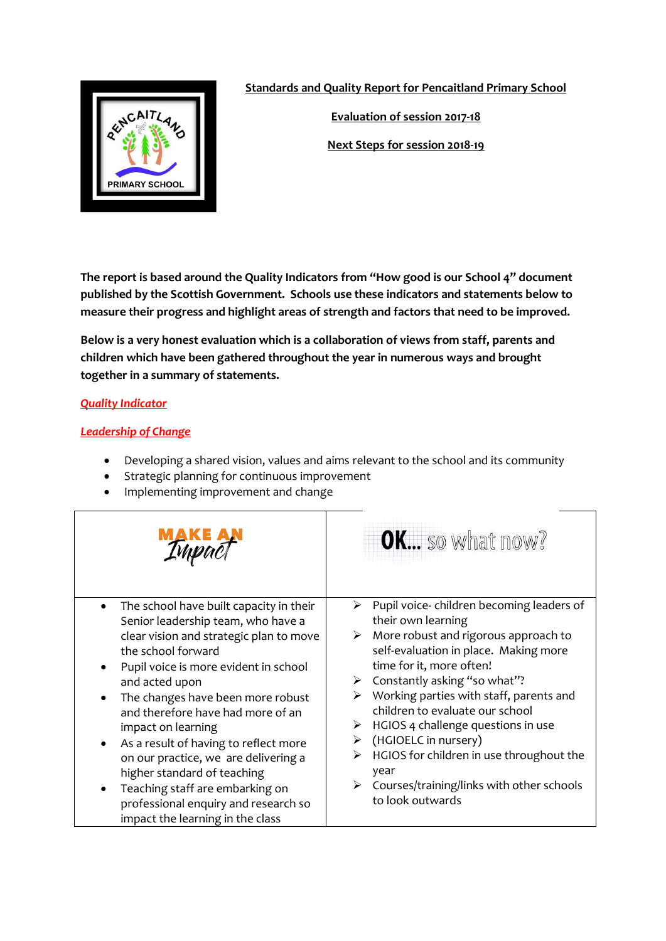

**Standards and Quality Report for Pencaitland Primary School**

**Evaluation of session 2017-18**

**Next Steps for session 2018-19**

**The report is based around the Quality Indicators from "How good is our School 4" document published by the Scottish Government. Schools use these indicators and statements below to measure their progress and highlight areas of strength and factors that need to be improved.** 

**Below is a very honest evaluation which is a collaboration of views from staff, parents and children which have been gathered throughout the year in numerous ways and brought together in a summary of statements.** 

# *Quality Indicator*

# *Leadership of Change*

- Developing a shared vision, values and aims relevant to the school and its community
- Strategic planning for continuous improvement
- Implementing improvement and change

|                                                                                                                                                                                                                                                                                                                                                                                                                                                                                                                                                                                                   | <b>OK</b> so what now?                                                                                                                                                                                                                                                                                                                                                                                                                                                                                  |
|---------------------------------------------------------------------------------------------------------------------------------------------------------------------------------------------------------------------------------------------------------------------------------------------------------------------------------------------------------------------------------------------------------------------------------------------------------------------------------------------------------------------------------------------------------------------------------------------------|---------------------------------------------------------------------------------------------------------------------------------------------------------------------------------------------------------------------------------------------------------------------------------------------------------------------------------------------------------------------------------------------------------------------------------------------------------------------------------------------------------|
| The school have built capacity in their<br>$\bullet$<br>Senior leadership team, who have a<br>clear vision and strategic plan to move<br>the school forward<br>Pupil voice is more evident in school<br>٠<br>and acted upon<br>The changes have been more robust<br>$\bullet$<br>and therefore have had more of an<br>impact on learning<br>As a result of having to reflect more<br>$\bullet$<br>on our practice, we are delivering a<br>higher standard of teaching<br>Teaching staff are embarking on<br>$\bullet$<br>professional enquiry and research so<br>impact the learning in the class | Pupil voice-children becoming leaders of<br>➤<br>their own learning<br>More robust and rigorous approach to<br>➤<br>self-evaluation in place. Making more<br>time for it, more often!<br>Constantly asking "so what"?<br>Working parties with staff, parents and<br>children to evaluate our school<br>HGIOS 4 challenge questions in use<br>(HGIOELC in nursery)<br>HGIOS for children in use throughout the<br>year<br>$\triangleright$ Courses/training/links with other schools<br>to look outwards |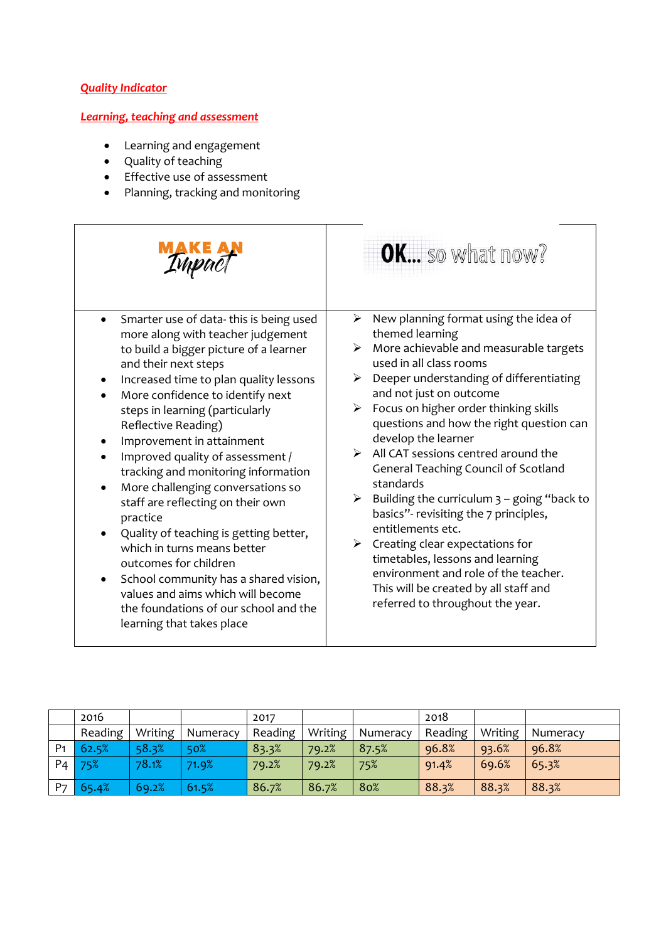### *Quality Indicator*

### *Learning, teaching and assessment*

- Learning and engagement
- Quality of teaching
- Effective use of assessment
- Planning, tracking and monitoring

|                                                                                                                                                                                                                                                                                                                                                                                                                                                                                                                                                                                                                                                                                                                                                                                               | OK so what now?                                                                                                                                                                                                                                                                                                                                                                                                                                                                                                                                                                                                                                                                                                                                                                                         |
|-----------------------------------------------------------------------------------------------------------------------------------------------------------------------------------------------------------------------------------------------------------------------------------------------------------------------------------------------------------------------------------------------------------------------------------------------------------------------------------------------------------------------------------------------------------------------------------------------------------------------------------------------------------------------------------------------------------------------------------------------------------------------------------------------|---------------------------------------------------------------------------------------------------------------------------------------------------------------------------------------------------------------------------------------------------------------------------------------------------------------------------------------------------------------------------------------------------------------------------------------------------------------------------------------------------------------------------------------------------------------------------------------------------------------------------------------------------------------------------------------------------------------------------------------------------------------------------------------------------------|
| Smarter use of data-this is being used<br>$\bullet$<br>more along with teacher judgement<br>to build a bigger picture of a learner<br>and their next steps<br>Increased time to plan quality lessons<br>More confidence to identify next<br>steps in learning (particularly<br>Reflective Reading)<br>Improvement in attainment<br>Improved quality of assessment /<br>tracking and monitoring information<br>More challenging conversations so<br>$\bullet$<br>staff are reflecting on their own<br>practice<br>Quality of teaching is getting better,<br>$\bullet$<br>which in turns means better<br>outcomes for children<br>School community has a shared vision,<br>$\bullet$<br>values and aims which will become<br>the foundations of our school and the<br>learning that takes place | New planning format using the idea of<br>➤<br>themed learning<br>More achievable and measurable targets<br>$\blacktriangleright$<br>used in all class rooms<br>Deeper understanding of differentiating<br>➤<br>and not just on outcome<br>Focus on higher order thinking skills<br>≻<br>questions and how the right question can<br>develop the learner<br>$\triangleright$ All CAT sessions centred around the<br>General Teaching Council of Scotland<br>standards<br>Building the curriculum $3$ – going "back to<br>➤<br>basics"- revisiting the 7 principles,<br>entitlements etc.<br>Creating clear expectations for<br>$\triangleright$<br>timetables, lessons and learning<br>environment and role of the teacher.<br>This will be created by all staff and<br>referred to throughout the year. |

|                | 2016    |         |          | 2017    |         |          | 2018    |         |          |
|----------------|---------|---------|----------|---------|---------|----------|---------|---------|----------|
|                | Reading | Writing | Numeracy | Reading | Writing | Numeracy | Reading | Writing | Numeracy |
| P <sub>1</sub> | 62.5%   | 58.3%   | 50%      | 83.3%   | 79.2%   | 87.5%    | 96.8%   | 93.6%   | 96.8%    |
| $P_4$          | 75%     | 78.1%   | 71.9%    | 79.2%   | 79.2%   | 75%      | 91.4%   | 69.6%   | 65.3%    |
| P <sub>7</sub> | 65.4%   | 69.2%   | 61.5%    | 86.7%   | 86.7%   | 80%      | 88.3%   | 88.3%   | 88.3%    |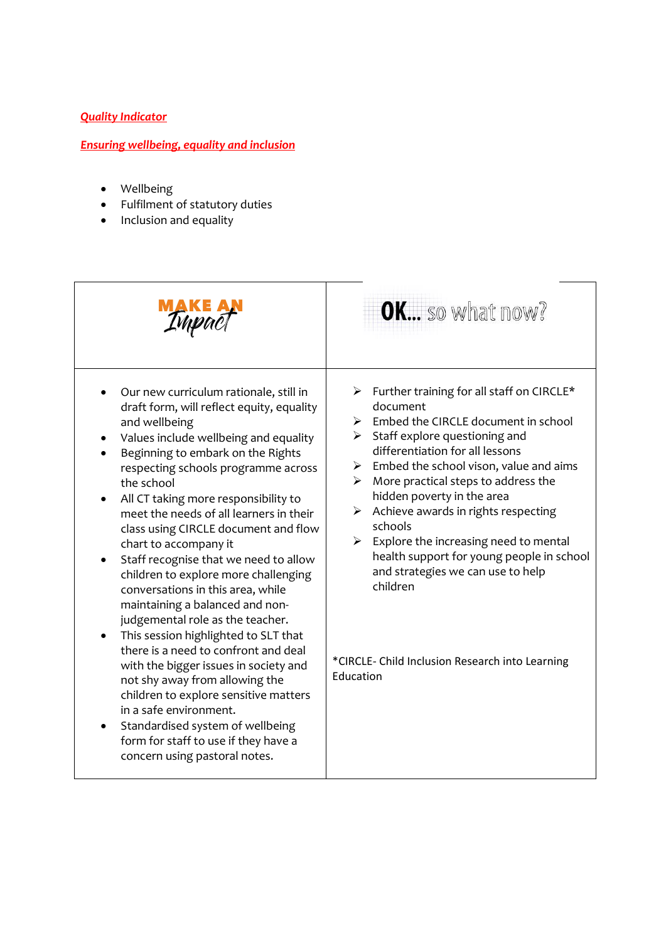### *Quality Indicator*

# *Ensuring wellbeing, equality and inclusion*

- Wellbeing
- Fulfilment of statutory duties
- Inclusion and equality

|                                                                                                                                                                                                                                                                                                                                                                                                                                                                                                                                                                                                                                                                                                                                                                                                                                                                                                                                                                         | OK so what now?                                                                                                                                                                                                                                                                                                                                                                                                                                                                                                                                                                      |
|-------------------------------------------------------------------------------------------------------------------------------------------------------------------------------------------------------------------------------------------------------------------------------------------------------------------------------------------------------------------------------------------------------------------------------------------------------------------------------------------------------------------------------------------------------------------------------------------------------------------------------------------------------------------------------------------------------------------------------------------------------------------------------------------------------------------------------------------------------------------------------------------------------------------------------------------------------------------------|--------------------------------------------------------------------------------------------------------------------------------------------------------------------------------------------------------------------------------------------------------------------------------------------------------------------------------------------------------------------------------------------------------------------------------------------------------------------------------------------------------------------------------------------------------------------------------------|
| Our new curriculum rationale, still in<br>draft form, will reflect equity, equality<br>and wellbeing<br>Values include wellbeing and equality<br>Beginning to embark on the Rights<br>respecting schools programme across<br>the school<br>All CT taking more responsibility to<br>$\bullet$<br>meet the needs of all learners in their<br>class using CIRCLE document and flow<br>chart to accompany it<br>Staff recognise that we need to allow<br>٠<br>children to explore more challenging<br>conversations in this area, while<br>maintaining a balanced and non-<br>judgemental role as the teacher.<br>This session highlighted to SLT that<br>$\bullet$<br>there is a need to confront and deal<br>with the bigger issues in society and<br>not shy away from allowing the<br>children to explore sensitive matters<br>in a safe environment.<br>Standardised system of wellbeing<br>٠<br>form for staff to use if they have a<br>concern using pastoral notes. | > Further training for all staff on CIRCLE*<br>document<br>Embed the CIRCLE document in school<br>➤<br>$\triangleright$ Staff explore questioning and<br>differentiation for all lessons<br>Embed the school vison, value and aims<br>≻<br>More practical steps to address the<br>➤<br>hidden poverty in the area<br>Achieve awards in rights respecting<br>➤<br>schools<br>Explore the increasing need to mental<br>➤<br>health support for young people in school<br>and strategies we can use to help<br>children<br>*CIRCLE- Child Inclusion Research into Learning<br>Education |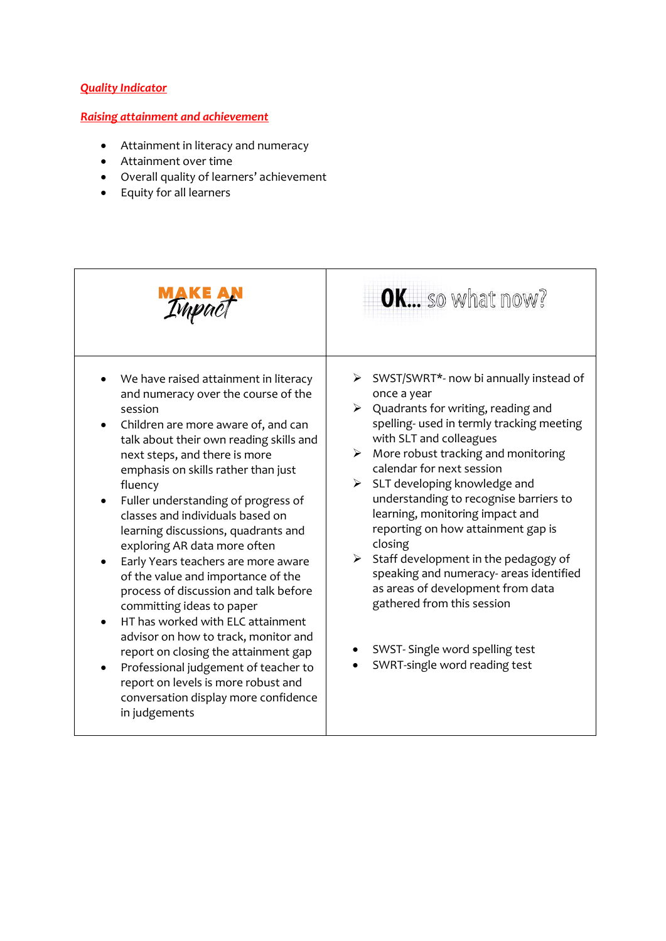#### *Quality Indicator*

#### *Raising attainment and achievement*

- Attainment in literacy and numeracy
- Attainment over time
- Overall quality of learners' achievement
- Equity for all learners